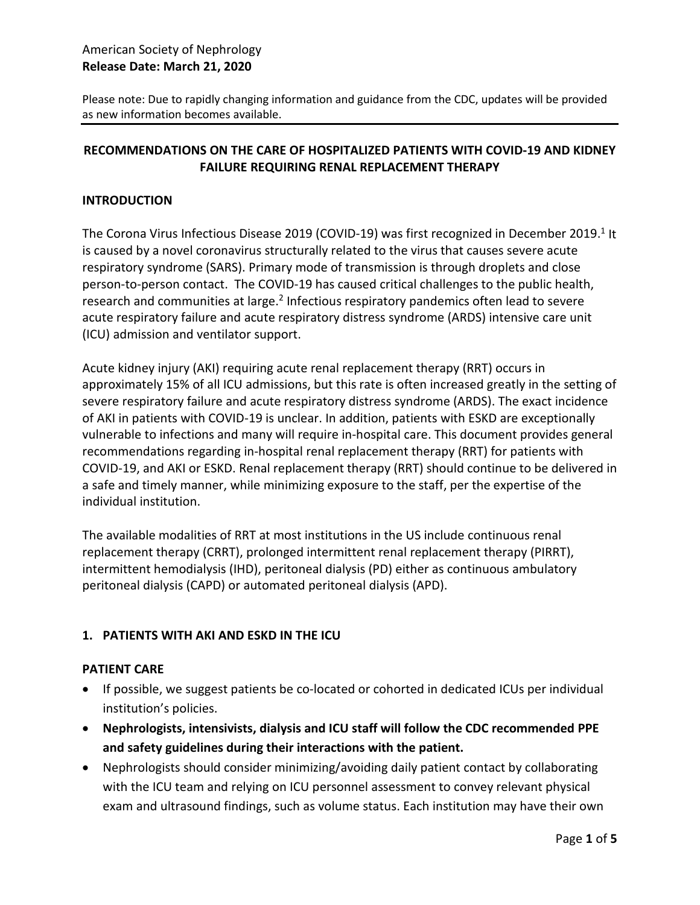# American Society of Nephrology **Release Date: March 21, 2020**

Please note: Due to rapidly changing information and guidance from the CDC, updates will be provided as new information becomes available.

### **RECOMMENDATIONS ON THE CARE OF HOSPITALIZED PATIENTS WITH COVID-19 AND KIDNEY FAILURE REQUIRING RENAL REPLACEMENT THERAPY**

### **INTRODUCTION**

The Corona Virus Infectious Disease 2019 (COVID-19) was first recognized in December 2019.<sup>1</sup> It is caused by a novel coronavirus structurally related to the virus that causes severe acute respiratory syndrome (SARS). Primary mode of transmission is through droplets and close person-to-person contact. The COVID-19 has caused critical challenges to the public health, research and communities at large.<sup>2</sup> Infectious respiratory pandemics often lead to severe acute respiratory failure and acute respiratory distress syndrome (ARDS) intensive care unit (ICU) admission and ventilator support.

Acute kidney injury (AKI) requiring acute renal replacement therapy (RRT) occurs in approximately 15% of all ICU admissions, but this rate is often increased greatly in the setting of severe respiratory failure and acute respiratory distress syndrome (ARDS). The exact incidence of AKI in patients with COVID-19 is unclear. In addition, patients with ESKD are exceptionally vulnerable to infections and many will require in-hospital care. This document provides general recommendations regarding in-hospital renal replacement therapy (RRT) for patients with COVID-19, and AKI or ESKD. Renal replacement therapy (RRT) should continue to be delivered in a safe and timely manner, while minimizing exposure to the staff, per the expertise of the individual institution.

The available modalities of RRT at most institutions in the US include continuous renal replacement therapy (CRRT), prolonged intermittent renal replacement therapy (PIRRT), intermittent hemodialysis (IHD), peritoneal dialysis (PD) either as continuous ambulatory peritoneal dialysis (CAPD) or automated peritoneal dialysis (APD).

### **1. PATIENTS WITH AKI AND ESKD IN THE ICU**

#### **PATIENT CARE**

- If possible, we suggest patients be co-located or cohorted in dedicated ICUs per individual institution's policies.
- **Nephrologists, intensivists, dialysis and ICU staff will follow the CDC recommended PPE and safety guidelines during their interactions with the patient.**
- Nephrologists should consider minimizing/avoiding daily patient contact by collaborating with the ICU team and relying on ICU personnel assessment to convey relevant physical exam and ultrasound findings, such as volume status. Each institution may have their own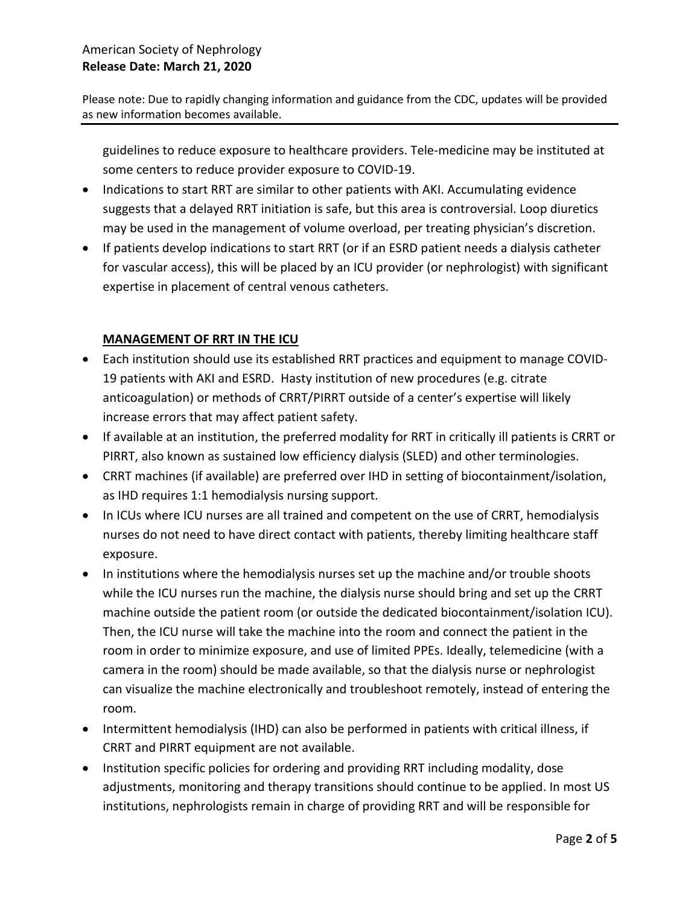Please note: Due to rapidly changing information and guidance from the CDC, updates will be provided as new information becomes available.

guidelines to reduce exposure to healthcare providers. Tele-medicine may be instituted at some centers to reduce provider exposure to COVID-19.

- Indications to start RRT are similar to other patients with AKI. Accumulating evidence suggests that a delayed RRT initiation is safe, but this area is controversial. Loop diuretics may be used in the management of volume overload, per treating physician's discretion.
- If patients develop indications to start RRT (or if an ESRD patient needs a dialysis catheter for vascular access), this will be placed by an ICU provider (or nephrologist) with significant expertise in placement of central venous catheters.

# **MANAGEMENT OF RRT IN THE ICU**

- Each institution should use its established RRT practices and equipment to manage COVID-19 patients with AKI and ESRD. Hasty institution of new procedures (e.g. citrate anticoagulation) or methods of CRRT/PIRRT outside of a center's expertise will likely increase errors that may affect patient safety.
- If available at an institution, the preferred modality for RRT in critically ill patients is CRRT or PIRRT, also known as sustained low efficiency dialysis (SLED) and other terminologies.
- CRRT machines (if available) are preferred over IHD in setting of biocontainment/isolation, as IHD requires 1:1 hemodialysis nursing support.
- In ICUs where ICU nurses are all trained and competent on the use of CRRT, hemodialysis nurses do not need to have direct contact with patients, thereby limiting healthcare staff exposure.
- In institutions where the hemodialysis nurses set up the machine and/or trouble shoots while the ICU nurses run the machine, the dialysis nurse should bring and set up the CRRT machine outside the patient room (or outside the dedicated biocontainment/isolation ICU). Then, the ICU nurse will take the machine into the room and connect the patient in the room in order to minimize exposure, and use of limited PPEs. Ideally, telemedicine (with a camera in the room) should be made available, so that the dialysis nurse or nephrologist can visualize the machine electronically and troubleshoot remotely, instead of entering the room.
- Intermittent hemodialysis (IHD) can also be performed in patients with critical illness, if CRRT and PIRRT equipment are not available.
- Institution specific policies for ordering and providing RRT including modality, dose adjustments, monitoring and therapy transitions should continue to be applied. In most US institutions, nephrologists remain in charge of providing RRT and will be responsible for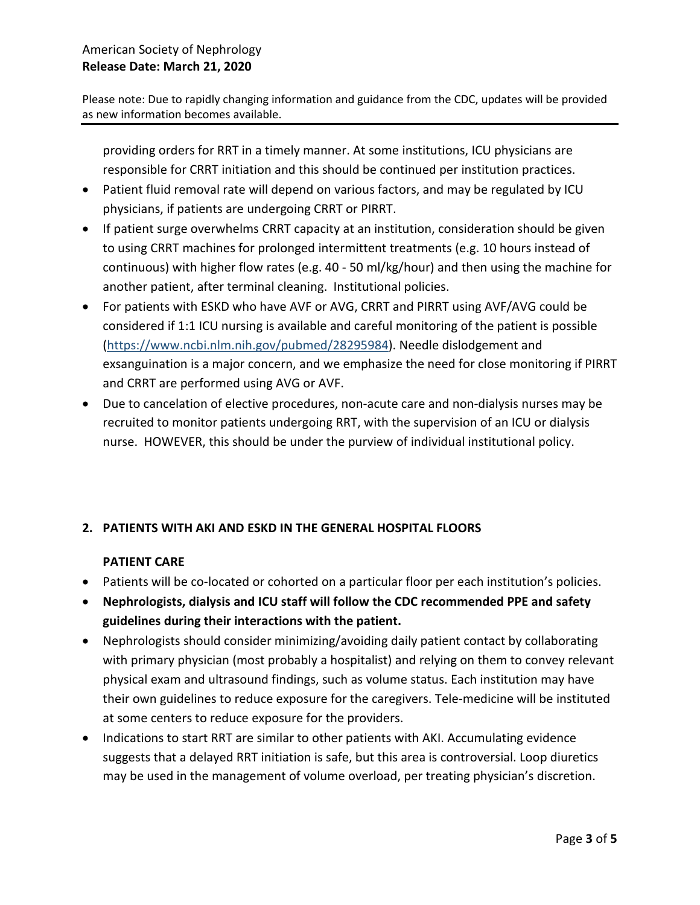Please note: Due to rapidly changing information and guidance from the CDC, updates will be provided as new information becomes available.

providing orders for RRT in a timely manner. At some institutions, ICU physicians are responsible for CRRT initiation and this should be continued per institution practices.

- Patient fluid removal rate will depend on various factors, and may be regulated by ICU physicians, if patients are undergoing CRRT or PIRRT.
- If patient surge overwhelms CRRT capacity at an institution, consideration should be given to using CRRT machines for prolonged intermittent treatments (e.g. 10 hours instead of continuous) with higher flow rates (e.g. 40 - 50 ml/kg/hour) and then using the machine for another patient, after terminal cleaning. Institutional policies.
- For patients with ESKD who have AVF or AVG, CRRT and PIRRT using AVF/AVG could be considered if 1:1 ICU nursing is available and careful monitoring of the patient is possible [\(https://www.ncbi.nlm.nih.gov/pubmed/28295984\)](https://www.ncbi.nlm.nih.gov/pubmed/28295984). Needle dislodgement and exsanguination is a major concern, and we emphasize the need for close monitoring if PIRRT and CRRT are performed using AVG or AVF.
- Due to cancelation of elective procedures, non-acute care and non-dialysis nurses may be recruited to monitor patients undergoing RRT, with the supervision of an ICU or dialysis nurse. HOWEVER, this should be under the purview of individual institutional policy.

# **2. PATIENTS WITH AKI AND ESKD IN THE GENERAL HOSPITAL FLOORS**

### **PATIENT CARE**

- Patients will be co-located or cohorted on a particular floor per each institution's policies.
- **Nephrologists, dialysis and ICU staff will follow the CDC recommended PPE and safety guidelines during their interactions with the patient.**
- Nephrologists should consider minimizing/avoiding daily patient contact by collaborating with primary physician (most probably a hospitalist) and relying on them to convey relevant physical exam and ultrasound findings, such as volume status. Each institution may have their own guidelines to reduce exposure for the caregivers. Tele-medicine will be instituted at some centers to reduce exposure for the providers.
- Indications to start RRT are similar to other patients with AKI. Accumulating evidence suggests that a delayed RRT initiation is safe, but this area is controversial. Loop diuretics may be used in the management of volume overload, per treating physician's discretion.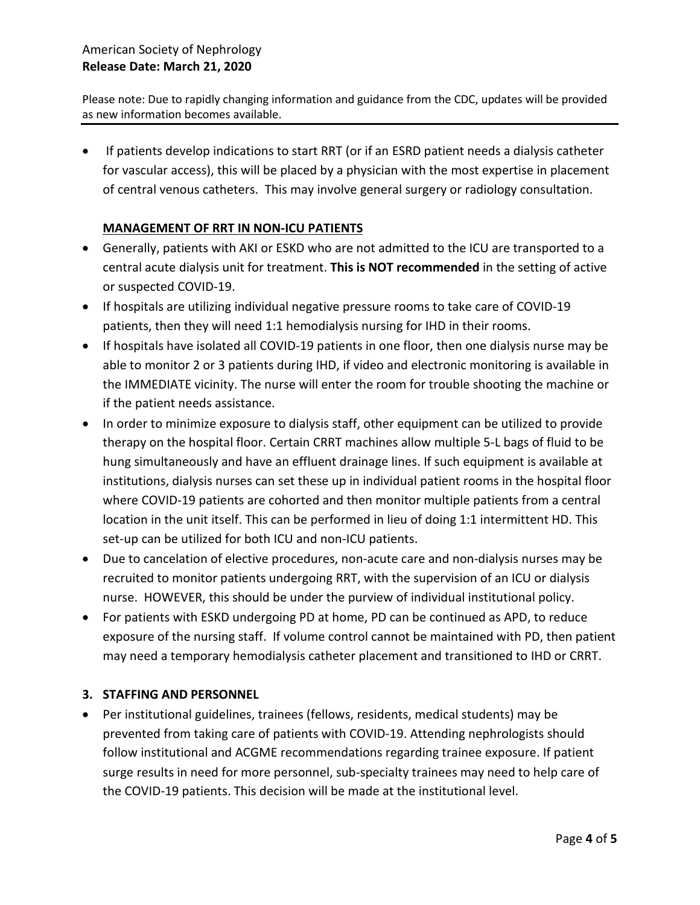# American Society of Nephrology **Release Date: March 21, 2020**

Please note: Due to rapidly changing information and guidance from the CDC, updates will be provided as new information becomes available.

• If patients develop indications to start RRT (or if an ESRD patient needs a dialysis catheter for vascular access), this will be placed by a physician with the most expertise in placement of central venous catheters. This may involve general surgery or radiology consultation.

#### **MANAGEMENT OF RRT IN NON-ICU PATIENTS**

- Generally, patients with AKI or ESKD who are not admitted to the ICU are transported to a central acute dialysis unit for treatment. **This is NOT recommended** in the setting of active or suspected COVID-19.
- If hospitals are utilizing individual negative pressure rooms to take care of COVID-19 patients, then they will need 1:1 hemodialysis nursing for IHD in their rooms.
- If hospitals have isolated all COVID-19 patients in one floor, then one dialysis nurse may be able to monitor 2 or 3 patients during IHD, if video and electronic monitoring is available in the IMMEDIATE vicinity. The nurse will enter the room for trouble shooting the machine or if the patient needs assistance.
- In order to minimize exposure to dialysis staff, other equipment can be utilized to provide therapy on the hospital floor. Certain CRRT machines allow multiple 5-L bags of fluid to be hung simultaneously and have an effluent drainage lines. If such equipment is available at institutions, dialysis nurses can set these up in individual patient rooms in the hospital floor where COVID-19 patients are cohorted and then monitor multiple patients from a central location in the unit itself. This can be performed in lieu of doing 1:1 intermittent HD. This set-up can be utilized for both ICU and non-ICU patients.
- Due to cancelation of elective procedures, non-acute care and non-dialysis nurses may be recruited to monitor patients undergoing RRT, with the supervision of an ICU or dialysis nurse. HOWEVER, this should be under the purview of individual institutional policy.
- For patients with ESKD undergoing PD at home, PD can be continued as APD, to reduce exposure of the nursing staff. If volume control cannot be maintained with PD, then patient may need a temporary hemodialysis catheter placement and transitioned to IHD or CRRT.

#### **3. STAFFING AND PERSONNEL**

• Per institutional guidelines, trainees (fellows, residents, medical students) may be prevented from taking care of patients with COVID-19. Attending nephrologists should follow institutional and ACGME recommendations regarding trainee exposure. If patient surge results in need for more personnel, sub-specialty trainees may need to help care of the COVID-19 patients. This decision will be made at the institutional level.